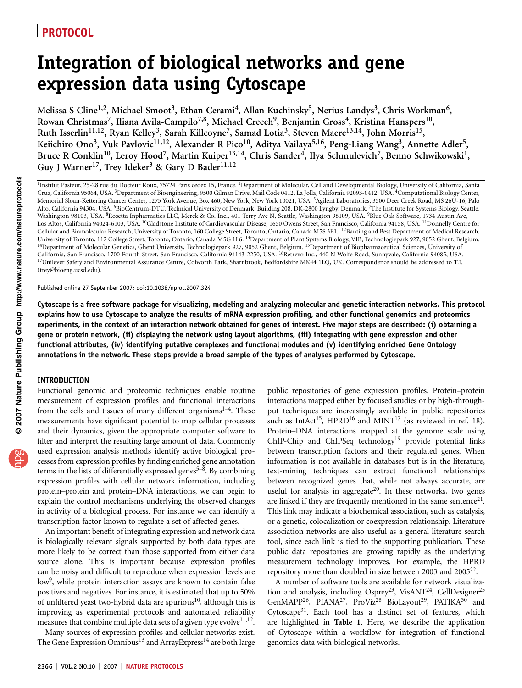# Integration of biological networks and gene expression data using Cytoscape

Melissa S Cline<sup>1,2</sup>, Michael Smoot<sup>3</sup>, Ethan Cerami<sup>4</sup>, Allan Kuchinsky<sup>5</sup>, Nerius Landys<sup>3</sup>, Chris Workman<sup>6</sup>, Rowan Christmas<sup>7</sup>, Iliana Avila-Campilo<sup>7,8</sup>, Michael Creech<sup>9</sup>, Benjamin Gross<sup>4</sup>, Kristina Hanspers<sup>10</sup>, Ruth Isserlin<sup>11,12</sup>, Ryan Kelley<sup>3</sup>, Sarah Killcoyne<sup>7</sup>, Samad Lotia<sup>3</sup>, Steven Maere<sup>13,14</sup>, John Morris<sup>15</sup>, Keiichiro Ono<sup>3</sup>, Vuk Pavlovic<sup>11,12</sup>, Alexander R Pico<sup>10</sup>, Aditya Vailaya<sup>5,16</sup>, Peng-Liang Wang<sup>3</sup>, Annette Adler<sup>5</sup>, Bruce R Conklin<sup>10</sup>, Leroy Hood<sup>7</sup>, Martin Kuiper<sup>13,14</sup>, Chris Sander<sup>4</sup>, Ilya Schmulevich<sup>7</sup>, Benno Schwikowski<sup>1</sup>, Guy J Warner<sup>17</sup>, Trey Ideker<sup>3</sup> & Gary D Bader<sup>11,12</sup>

<sup>1</sup>Institut Pasteur, 25-28 rue du Docteur Roux, 75724 Paris cedex 15, France. <sup>2</sup>Department of Molecular, Cell and Developmental Biology, University of California, Santa Cruz, California 95064, USA. 3Department of Bioengineering, 9500 Gilman Drive, Mail Code 0412, La Jolla, California 92093-0412, USA. 4Computational Biology Center, Memorial Sloan-Kettering Cancer Center, 1275 York Avenue, Box 460, New York, New York 10021, USA. 5Agilent Laboratories, 3500 Deer Creek Road, MS 26U-16, Palo Alto, California 94304, USA. 6BioCentrum-DTU, Technical University of Denmark, Building 208, DK-2800 Lyngby, Denmark. 7The Institute for Systems Biology, Seattle, Washington 98103, USA. 8Rosetta Inpharmatics LLC, Merck & Co. Inc., 401 Terry Ave N, Seattle, Washington 98109, USA. 9Blue Oak Software, 1734 Austin Ave, Los Altos, California 94024-6103, USA. <sup>10</sup>Gladstone Institute of Cardiovascular Disease, 1650 Owens Street, San Francisco, California 94158, USA. <sup>11</sup>Donnelly Centre for Cellular and Biomolecular Research, University of Toronto, 160 College Street, Toronto, Ontario, Canada M5S 3E1. <sup>12</sup>Banting and Best Department of Medical Research, University of Toronto, 112 College Street, Toronto, Ontario, Canada M5G 1L6. 13Department of Plant Systems Biology, VIB, Technologiepark 927, 9052 Ghent, Belgium. <sup>14</sup>Department of Molecular Genetics, Ghent University, Technologiepark 927, 9052 Ghent, Belgium. <sup>15</sup>Department of Biopharmaceutical Sciences, University of California, San Francisco, 1700 Fourth Street, San Francisco, California 94143-2250, USA. <sup>16</sup>Retrevo Inc., 440 N Wolfe Road, Sunnyvale, California 94085, USA. <sup>17</sup>Unilever Safety and Environmental Assurance Centre, Colworth Park, Sharnbrook, Bedfordshire MK44 1LQ, UK. Correspondence should be addressed to T.I. (trey@bioeng.ucsd.edu).

Published online 27 September 2007; doi:10.1038/nprot.2007.324

Cytoscape is a free software package for visualizing, modeling and analyzing molecular and genetic interaction networks. This protocol explains how to use Cytoscape to analyze the results of mRNA expression profiling, and other functional genomics and proteomics experiments, in the context of an interaction network obtained for genes of interest. Five major steps are described: (i) obtaining a gene or protein network, (ii) displaying the network using layout algorithms, (iii) integrating with gene expression and other functional attributes, (iv) identifying putative complexes and functional modules and (v) identifying enriched Gene Ontology annotations in the network. These steps provide a broad sample of the types of analyses performed by Cytoscape.

#### INTRODUCTION

Functional genomic and proteomic techniques enable routine measurement of expression profiles and functional interactions from the cells and tissues of many different organisms<sup>1-4</sup>. These measurements have significant potential to map cellular processes and their dynamics, given the appropriate computer software to filter and interpret the resulting large amount of data. Commonly used expression analysis methods identify active biological processes from expression profiles by finding enriched gene annotation terms in the lists of differentially expressed genes<sup>5–8</sup>. By combining expression profiles with cellular network information, including protein–protein and protein–DNA interactions, we can begin to explain the control mechanisms underlying the observed changes in activity of a biological process. For instance we can identify a transcription factor known to regulate a set of affected genes.

An important benefit of integrating expression and network data is biologically relevant signals supported by both data types are more likely to be correct than those supported from either data source alone. This is important because expression profiles can be noisy and difficult to reproduce when expression levels are low<sup>9</sup>, while protein interaction assays are known to contain false positives and negatives. For instance, it is estimated that up to 50% of unfiltered yeast two-hybrid data are spurious<sup>10</sup>, although this is improving as experimental protocols and automated reliability measures that combine multiple data sets of a given type evolve $11,12$ .

Many sources of expression profiles and cellular networks exist. The Gene Expression Omnibus<sup>13</sup> and ArrayExpress<sup>14</sup> are both large

public repositories of gene expression profiles. Protein–protein interactions mapped either by focused studies or by high-throughput techniques are increasingly available in public repositories such as IntAct<sup>15</sup>, HPRD<sup>16</sup> and MINT<sup>17</sup> (as reviewed in ref. 18). Protein–DNA interactions mapped at the genome scale using ChIP-Chip and ChIPSeq technology<sup>19</sup> provide potential links between transcription factors and their regulated genes. When information is not available in databases but is in the literature, text-mining techniques can extract functional relationships between recognized genes that, while not always accurate, are useful for analysis in aggregate<sup>20</sup>. In these networks, two genes are linked if they are frequently mentioned in the same sentence<sup>21</sup>. This link may indicate a biochemical association, such as catalysis, or a genetic, colocalization or coexpression relationship. Literature association networks are also useful as a general literature search tool, since each link is tied to the supporting publication. These public data repositories are growing rapidly as the underlying measurement technology improves. For example, the HPRD repository more than doubled in size between 2003 and 2005<sup>22</sup>.

A number of software tools are available for network visualization and analysis, including Osprey<sup>23</sup>, VisANT<sup>24</sup>, CellDesigner<sup>25</sup> GenMAPP<sup>26</sup>, PIANA<sup>27</sup>, ProViz<sup>28</sup> BioLayout<sup>29</sup>, PATIKA<sup>30</sup> and Cytoscape<sup>31</sup>. Each tool has a distinct set of features, which are highlighted in Table 1. Here, we describe the application of Cytoscape within a workflow for integration of functional genomics data with biological networks.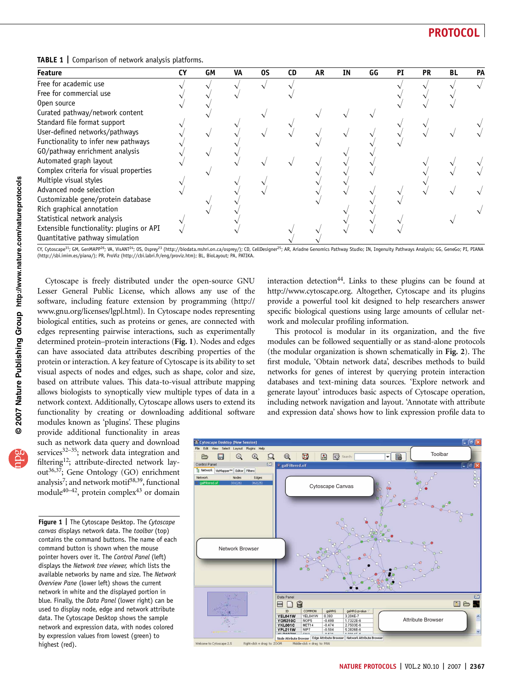| TABLE 1   Comparison of network analysis platforms. |  |  |
|-----------------------------------------------------|--|--|
|                                                     |  |  |

| <b>Feature</b>                           | CY | <b>GM</b> | VA | <b>OS</b> | <b>CD</b> | AR | ΙN | GG | PI | <b>PR</b> | BL | PA |
|------------------------------------------|----|-----------|----|-----------|-----------|----|----|----|----|-----------|----|----|
| Free for academic use                    |    |           |    |           |           |    |    |    |    |           |    |    |
| Free for commercial use                  |    |           |    |           |           |    |    |    |    |           |    |    |
| Open source                              |    |           |    |           |           |    |    |    |    |           |    |    |
| Curated pathway/network content          |    |           |    |           |           |    |    |    |    |           |    |    |
| Standard file format support             |    |           |    |           |           |    |    |    |    |           |    |    |
| User-defined networks/pathways           |    |           |    |           |           |    |    |    |    |           |    |    |
| Functionality to infer new pathways      |    |           |    |           |           |    |    |    |    |           |    |    |
| GO/pathway enrichment analysis           |    |           |    |           |           |    |    |    |    |           |    |    |
| Automated graph layout                   |    |           |    |           |           |    |    |    |    |           |    |    |
| Complex criteria for visual properties   |    |           |    |           |           |    |    |    |    |           |    |    |
| Multiple visual styles                   |    |           |    |           |           |    |    |    |    |           |    |    |
| Advanced node selection                  |    |           |    |           |           |    |    |    |    |           |    |    |
| Customizable gene/protein database       |    |           |    |           |           |    |    |    |    |           |    |    |
| Rich graphical annotation                |    |           |    |           |           |    |    |    |    |           |    |    |
| Statistical network analysis             |    |           |    |           |           |    |    |    |    |           |    |    |
| Extensible functionality: plugins or API |    |           |    |           |           |    |    |    |    |           |    |    |
| Quantitative pathway simulation          |    |           |    |           |           |    |    |    |    |           |    |    |

CY, Cytoscape<sup>31</sup>; GM, GenMAPP<sup>26</sup>; VA, VisANT<sup>24</sup>; OS, Osprey<sup>23</sup> (http://biodata.mshri.on.ca/osprey/); CD, CellDesigner<sup>25</sup>; AR, Ariadne Genomics Pathway Studio; IN, Ingenuity Pathways Analysis; GG, GeneGo; PI, PIANA (http://sbi.imim.es/piana/); PR, ProViz (http://cbi.labri.fr/eng/proviz.htm); BL, BioLayout; PA, PATIKA.

Cytoscape is freely distributed under the open-source GNU Lesser General Public License, which allows any use of the software, including feature extension by programming (http:// www.gnu.org/licenses/lgpl.html). In Cytoscape nodes representing biological entities, such as proteins or genes, are connected with edges representing pairwise interactions, such as experimentally determined protein–protein interactions (Fig. 1). Nodes and edges can have associated data attributes describing properties of the protein or interaction. A key feature of Cytoscape is its ability to set visual aspects of nodes and edges, such as shape, color and size, based on attribute values. This data-to-visual attribute mapping allows biologists to synoptically view multiple types of data in a network context. Additionally, Cytoscape allows users to extend its functionality by creating or downloading additional software

modules known as 'plugins'. These plugins provide additional functionality in areas such as network data query and download services<sup>32-35</sup>; network data integration and filtering<sup>12</sup>; attribute-directed network layout<sup>36,37</sup>; Gene Ontology (GO) enrichment analysis<sup>7</sup>; and network motif<sup>38,39</sup>, functional module<sup>40-42</sup>, protein complex<sup>43</sup> or domain

Figure 1 | The Cytoscape Desktop. The Cytoscape canvas displays network data. The toolbar (top) contains the command buttons. The name of each command button is shown when the mouse pointer hovers over it. The Control Panel (left) displays the Network tree viewer, which lists the available networks by name and size. The Network Overview Pane (lower left) shows the current network in white and the displayed portion in blue. Finally, the Data Panel (lower right) can be used to display node, edge and network attribute data. The Cytoscape Desktop shows the sample network and expression data, with nodes colored by expression values from lowest (green) to highest (red).

interaction detection<sup>44</sup>. Links to these plugins can be found at http://www.cytoscape.org. Altogether, Cytoscape and its plugins provide a powerful tool kit designed to help researchers answer specific biological questions using large amounts of cellular network and molecular profiling information.

This protocol is modular in its organization, and the five modules can be followed sequentially or as stand-alone protocols (the modular organization is shown schematically in Fig. 2). The first module, 'Obtain network data', describes methods to build networks for genes of interest by querying protein interaction databases and text-mining data sources. 'Explore network and generate layout' introduces basic aspects of Cytoscape operation, including network navigation and layout. 'Annotate with attribute and expression data' shows how to link expression profile data to

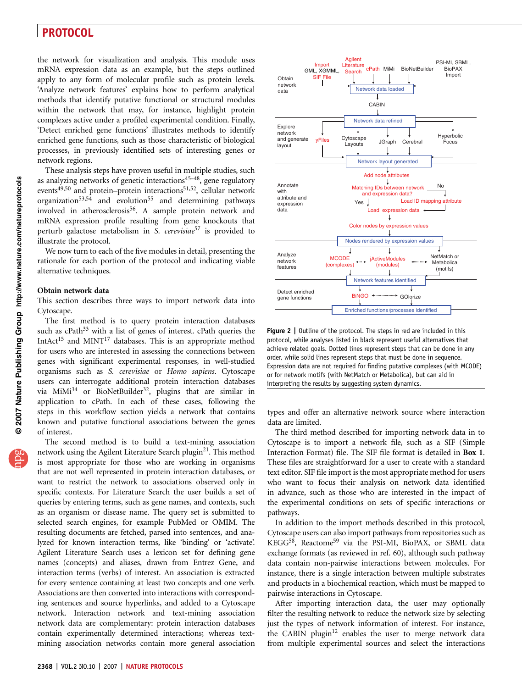the network for visualization and analysis. This module uses mRNA expression data as an example, but the steps outlined apply to any form of molecular profile such as protein levels. 'Analyze network features' explains how to perform analytical methods that identify putative functional or structural modules within the network that may, for instance, highlight protein complexes active under a profiled experimental condition. Finally, 'Detect enriched gene functions' illustrates methods to identify enriched gene functions, such as those characteristic of biological processes, in previously identified sets of interesting genes or network regions.

These analysis steps have proven useful in multiple studies, such as analyzing networks of genetic interactions<sup>45-48</sup>, gene regulatory events<sup>49,50</sup> and protein–protein interactions<sup>51,52</sup>, cellular network organization<sup>53,54</sup> and evolution<sup>55</sup> and determining pathways involved in atherosclerosis<sup>56</sup>. A sample protein network and mRNA expression profile resulting from gene knockouts that perturb galactose metabolism in S. cerevisiae<sup>57</sup> is provided to illustrate the protocol.

We now turn to each of the five modules in detail, presenting the rationale for each portion of the protocol and indicating viable alternative techniques.

#### Obtain network data

This section describes three ways to import network data into Cytoscape.

The first method is to query protein interaction databases such as  $cPath<sup>33</sup>$  with a list of genes of interest.  $cPath$  queries the IntAct<sup>15</sup> and MINT<sup>17</sup> databases. This is an appropriate method for users who are interested in assessing the connections between genes with significant experimental responses, in well-studied organisms such as S. cerevisiae or Homo sapiens. Cytoscape users can interrogate additional protein interaction databases via MiMi<sup>34</sup> or BioNetBuilder<sup>32</sup>, plugins that are similar in application to cPath. In each of these cases, following the steps in this workflow section yields a network that contains known and putative functional associations between the genes of interest.

The second method is to build a text-mining association network using the Agilent Literature Search plugin<sup>21</sup>. This method is most appropriate for those who are working in organisms that are not well represented in protein interaction databases, or want to restrict the network to associations observed only in specific contexts. For Literature Search the user builds a set of queries by entering terms, such as gene names, and contexts, such as an organism or disease name. The query set is submitted to selected search engines, for example PubMed or OMIM. The resulting documents are fetched, parsed into sentences, and analyzed for known interaction terms, like 'binding' or 'activate'. Agilent Literature Search uses a lexicon set for defining gene names (concepts) and aliases, drawn from Entrez Gene, and interaction terms (verbs) of interest. An association is extracted for every sentence containing at least two concepts and one verb. Associations are then converted into interactions with corresponding sentences and source hyperlinks, and added to a Cytoscape network. Interaction network and text-mining association network data are complementary: protein interaction databases contain experimentally determined interactions; whereas textmining association networks contain more general association



**Figure 2** | Outline of the protocol. The steps in red are included in this protocol, while analyses listed in black represent useful alternatives that achieve related goals. Dotted lines represent steps that can be done in any order, while solid lines represent steps that must be done in sequence. Expression data are not required for finding putative complexes (with MCODE) or for network motifs (with NetMatch or Metabolica), but can aid in interpreting the results by suggesting system dynamics.

types and offer an alternative network source where interaction data are limited.

The third method described for importing network data in to Cytoscape is to import a network file, such as a SIF (Simple Interaction Format) file. The SIF file format is detailed in Box 1. These files are straightforward for a user to create with a standard text editor. SIF file import is the most appropriate method for users who want to focus their analysis on network data identified in advance, such as those who are interested in the impact of the experimental conditions on sets of specific interactions or pathways.

In addition to the import methods described in this protocol, Cytoscape users can also import pathways from repositories such as KEGG58, Reactome59 via the PSI-MI, BioPAX, or SBML data exchange formats (as reviewed in ref. 60), although such pathway data contain non-pairwise interactions between molecules. For instance, there is a single interaction between multiple substrates and products in a biochemical reaction, which must be mapped to pairwise interactions in Cytoscape.

After importing interaction data, the user may optionally filter the resulting network to reduce the network size by selecting just the types of network information of interest. For instance, the CABIN plugin<sup>12</sup> enables the user to merge network data from multiple experimental sources and select the interactions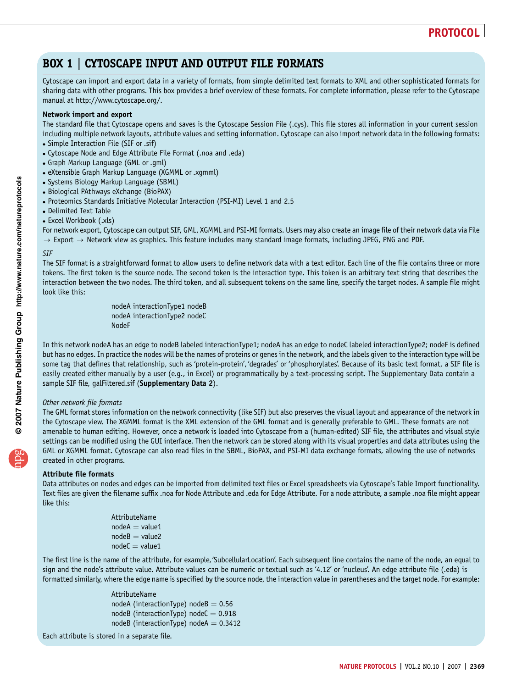## BOX 1 | CYTOSCAPE INPUT AND OUTPUT FILE FORMATS

Cytoscape can import and export data in a variety of formats, from simple delimited text formats to XML and other sophisticated formats for sharing data with other programs. This box provides a brief overview of these formats. For complete information, please refer to the Cytoscape manual at http://www.cytoscape.org/.

#### Network import and export

The standard file that Cytoscape opens and saves is the Cytoscape Session File (.cys). This file stores all information in your current session including multiple network layouts, attribute values and setting information. Cytoscape can also import network data in the following formats: Simple Interaction File (SIF or .sif)

- Cytoscape Node and Edge Attribute File Format (.noa and .eda)
- Graph Markup Language (GML or .gml)
- eXtensible Graph Markup Language (XGMML or .xgmml)
- Systems Biology Markup Language (SBML)
- Biological PAthways eXchange (BioPAX)
- Proteomics Standards Initiative Molecular Interaction (PSI-MI) Level 1 and 2.5
- Delimited Text Table
- Excel Workbook (.xls)
- For network export, Cytoscape can output SIF, GML, XGMML and PSI-MI formats. Users may also create an image file of their network data via File
- $\rightarrow$  Export  $\rightarrow$  Network view as graphics. This feature includes many standard image formats, including JPEG, PNG and PDF.

#### SIF

The SIF format is a straightforward format to allow users to define network data with a text editor. Each line of the file contains three or more tokens. The first token is the source node. The second token is the interaction type. This token is an arbitrary text string that describes the interaction between the two nodes. The third token, and all subsequent tokens on the same line, specify the target nodes. A sample file might look like this:

> nodeA interactionType1 nodeB nodeA interactionType2 nodeC NodeF

In this network nodeA has an edge to nodeB labeled interactionType1; nodeA has an edge to nodeC labeled interactionType2; nodeF is defined but has no edges. In practice the nodes will be the names of proteins or genes in the network, and the labels given to the interaction type will be some tag that defines that relationship, such as 'protein-protein','degrades' or 'phosphorylates'. Because of its basic text format, a SIF file is easily created either manually by a user (e.g., in Excel) or programmatically by a text-processing script. The Supplementary Data contain a sample SIF file, galFiltered.sif (Supplementary Data 2).

#### Other network file formats

The GML format stores information on the network connectivity (like SIF) but also preserves the visual layout and appearance of the network in the Cytoscape view. The XGMML format is the XML extension of the GML format and is generally preferable to GML. These formats are not amenable to human editing. However, once a network is loaded into Cytoscape from a (human-edited) SIF file, the attributes and visual style settings can be modified using the GUI interface. Then the network can be stored along with its visual properties and data attributes using the GML or XGMML format. Cytoscape can also read files in the SBML, BioPAX, and PSI-MI data exchange formats, allowing the use of networks created in other programs.

#### Attribute file formats

Data attributes on nodes and edges can be imported from delimited text files or Excel spreadsheets via Cytoscape's Table Import functionality. Text files are given the filename suffix .noa for Node Attribute and .eda for Edge Attribute. For a node attribute, a sample .noa file might appear like this:

| AttributeName    |  |  |  |  |  |  |  |
|------------------|--|--|--|--|--|--|--|
| $nodeA = value1$ |  |  |  |  |  |  |  |
| $nodeB = value2$ |  |  |  |  |  |  |  |
| $nodeC = value1$ |  |  |  |  |  |  |  |

The first line is the name of the attribute, for example,'SubcellularLocation'. Each subsequent line contains the name of the node, an equal to sign and the node's attribute value. Attribute values can be numeric or textual such as '4.12' or 'nucleus'. An edge attribute file (.eda) is formatted similarly, where the edge name is specified by the source node, the interaction value in parentheses and the target node. For example:

> AttributeName nodeA (interactionType) nodeB =  $0.56$ nodeB (interactionType) nodeC  $= 0.918$ nodeB (interactionType) nodeA  $= 0.3412$

Each attribute is stored in a separate file.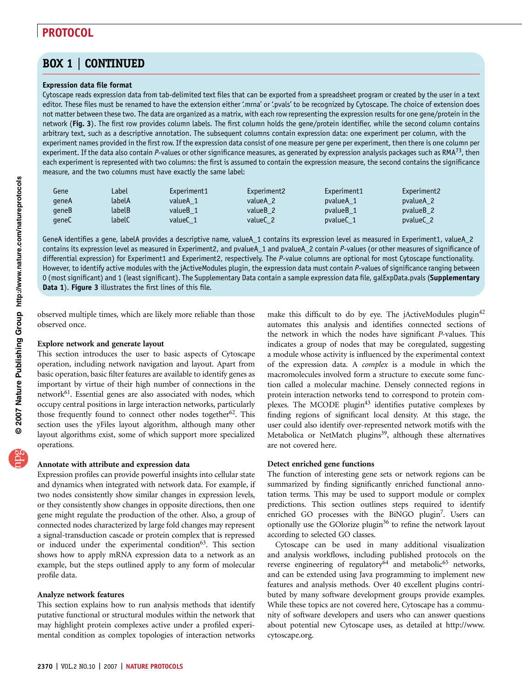## BOX 1 | CONTINUED

#### Expression data file format

Cytoscape reads expression data from tab-delimited text files that can be exported from a spreadsheet program or created by the user in a text editor. These files must be renamed to have the extension either '.mrna' or '.pvals' to be recognized by Cytoscape. The choice of extension does not matter between these two. The data are organized as a matrix, with each row representing the expression results for one gene/protein in the network (Fig. 3). The first row provides column labels. The first column holds the gene/protein identifier, while the second column contains arbitrary text, such as a descriptive annotation. The subsequent columns contain expression data: one experiment per column, with the experiment names provided in the first row. If the expression data consist of one measure per gene per experiment, then there is one column per experiment. If the data also contain P-values or other significance measures, as generated by expression analysis packages such as RMA<sup>73</sup>, then each experiment is represented with two columns: the first is assumed to contain the expression measure, the second contains the significance measure, and the two columns must have exactly the same label:

| Gene  | Label  | Experiment1 | Experiment2 | Experiment1 | Experiment2           |
|-------|--------|-------------|-------------|-------------|-----------------------|
| geneA | labelA | valueA 1    | valueA 2    | pvalueA 1   | pvalueA 2             |
| qeneB | labelB | valueB 1    | valueB 2    | pvalueB 1   | pyalue <sub>B</sub> 2 |
| geneC | labelC | valueC 1    | valueC 2    | pvalueC 1   | pvalueC 2             |

GeneA identifies a gene, labelA provides a descriptive name, valueA\_1 contains its expression level as measured in Experiment1, valueA\_2 contains its expression level as measured in Experiment2, and pvalueA\_1 and pvalueA\_2 contain P-values (or other measures of significance of differential expression) for Experiment1 and Experiment2, respectively. The P-value columns are optional for most Cytoscape functionality. However, to identify active modules with the jActiveModules plugin, the expression data must contain P-values of significance ranging between 0 (most significant) and 1 (least significant). The Supplementary Data contain a sample expression data file, galExpData.pvals (Supplementary Data 1). Figure 3 illustrates the first lines of this file.

observed multiple times, which are likely more reliable than those observed once.

#### Explore network and generate layout

This section introduces the user to basic aspects of Cytoscape operation, including network navigation and layout. Apart from basic operation, basic filter features are available to identify genes as important by virtue of their high number of connections in the network<sup>61</sup>. Essential genes are also associated with nodes, which occupy central positions in large interaction networks, particularly those frequently found to connect other nodes together<sup>62</sup>. This section uses the yFiles layout algorithm, although many other layout algorithms exist, some of which support more specialized operations.

#### Annotate with attribute and expression data

Expression profiles can provide powerful insights into cellular state and dynamics when integrated with network data. For example, if two nodes consistently show similar changes in expression levels, or they consistently show changes in opposite directions, then one gene might regulate the production of the other. Also, a group of connected nodes characterized by large fold changes may represent a signal-transduction cascade or protein complex that is repressed or induced under the experimental condition<sup>63</sup>. This section shows how to apply mRNA expression data to a network as an example, but the steps outlined apply to any form of molecular profile data.

#### Analyze network features

This section explains how to run analysis methods that identify putative functional or structural modules within the network that may highlight protein complexes active under a profiled experimental condition as complex topologies of interaction networks make this difficult to do by eye. The jActiveModules plugin<sup>42</sup> automates this analysis and identifies connected sections of the network in which the nodes have significant P-values. This indicates a group of nodes that may be coregulated, suggesting a module whose activity is influenced by the experimental context of the expression data. A complex is a module in which the macromolecules involved form a structure to execute some function called a molecular machine. Densely connected regions in protein interaction networks tend to correspond to protein complexes. The MCODE plugin<sup>43</sup> identifies putative complexes by finding regions of significant local density. At this stage, the user could also identify over-represented network motifs with the Metabolica or NetMatch plugins<sup>39</sup>, although these alternatives are not covered here.

#### Detect enriched gene functions

The function of interesting gene sets or network regions can be summarized by finding significantly enriched functional annotation terms. This may be used to support module or complex predictions. This section outlines steps required to identify enriched GO processes with the BiNGO plugin<sup>7</sup>. Users can optionally use the GOlorize plugin<sup>36</sup> to refine the network layout according to selected GO classes.

Cytoscape can be used in many additional visualization and analysis workflows, including published protocols on the reverse engineering of regulatory<sup>64</sup> and metabolic<sup>65</sup> networks, and can be extended using Java programming to implement new features and analysis methods. Over 40 excellent plugins contributed by many software development groups provide examples. While these topics are not covered here, Cytoscape has a community of software developers and users who can answer questions about potential new Cytoscape uses, as detailed at http://www. cytoscape.org.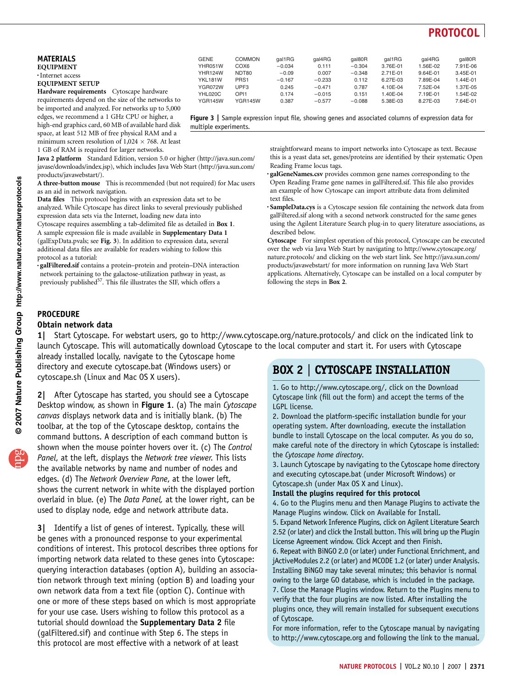| <b>MATERIALS</b>                                   | <b>GENE</b>    | <b>COMMON</b>    | gal1RG   | gal4RG   | gal80R   | gal1RG   | gal4RG   | qal80R   |
|----------------------------------------------------|----------------|------------------|----------|----------|----------|----------|----------|----------|
| <b>EQUIPMENT</b>                                   | YHR051W        | COX <sub>6</sub> | $-0.034$ | 0.111    | $-0.304$ | 3.76E-01 | 1.56E-02 | 7.91E-06 |
| • Internet access                                  | <b>YHR124W</b> | NDT80            | $-0.09$  | 0.007    | $-0.348$ | 2.71E-01 | 9.64E-01 | 3.45E-01 |
| <b>EQUIPMENT SETUP</b>                             | <b>YKL181W</b> | PRS <sub>1</sub> | $-0.167$ | $-0.233$ | 0.112    | 6.27E-03 | 7.89E-04 | 1.44E-01 |
|                                                    | <b>YGR072W</b> | UPF3             | 0.245    | $-0.471$ | 0.787    | 4.10E-04 | 7.52E-04 | 1.37E-05 |
| <b>Hardware requirements</b><br>Cytoscape hardware | YHL020C        | OPI <sub>1</sub> | 0.174    | $-0.015$ | 0.151    | 1.40E-04 | 7.19E-01 | 1.54E-02 |
| requirements depend on the size of the networks to | <b>YGR145W</b> | <b>YGR145W</b>   | 0.387    | $-0.577$ | $-0.088$ | 5.38E-03 | 8.27E-03 | 7.64E-01 |

multiple experiments.

be imported and analyzed. For networks up to 5,000 edges, we recommend a 1 GHz CPU or higher, a high-end graphics card, 60 MB of available hard disk space, at least 512 MB of free physical RAM and a minimum screen resolution of  $1,024 \times 768$ . At least

1 GB of RAM is required for larger networks.

Java 2 platform Standard Edition, version 5.0 or higher (http://java.sun.com/ javase/downloads/index.jsp), which includes Java Web Start (http://java.sun.com/ products/javawebstart/).

A three-button mouse This is recommended (but not required) for Mac users as an aid in network navigation.

Data files This protocol begins with an expression data set to be analyzed. While Cytoscape has direct links to several previously published expression data sets via the Internet, loading new data into

Cytoscape requires assembling a tab-delimited file as detailed in Box 1. A sample expression file is made available in Supplementary Data 1 (galExpData.pvals; see Fig. 3). In addition to expression data, several additional data files are available for readers wishing to follow this protocol as a tutorial:

.galFiltered.sif contains a protein–protein and protein–DNA interaction network pertaining to the galactose-utilization pathway in yeast, as previously published<sup>57</sup>. This file illustrates the SIF, which offers a

straightforward means to import networks into Cytoscape as text. Because this is a yeast data set, genes/proteins are identified by their systematic Open

Figure 3 | Sample expression input file, showing genes and associated columns of expression data for

Reading Frame locus tags. .galGeneNames.csv provides common gene names corresponding to the Open Reading Frame gene names in galFiltered.sif. This file also provides an example of how Cytoscape can import attribute data from delimited text files.

.SampleData.cys is a Cytoscape session file containing the network data from galFiltered.sif along with a second network constructed for the same genes using the Agilent Literature Search plug-in to query literature associations, as described below.

Cytoscape For simplest operation of this protocol, Cytoscape can be executed over the web via Java Web Start by navigating to http://www.cytoscape.org/ nature.protocols/ and clicking on the web start link. See http://java.sun.com/ products/javawebstart/ for more information on running Java Web Start applications. Alternatively, Cytoscape can be installed on a local computer by following the steps in Box 2.

### **PROCEDURE**

#### Obtain network data

1| Start Cytoscape. For webstart users, go to http://www.cytoscape.org/nature.protocols/ and click on the indicated link to launch Cytoscape. This will automatically download Cytoscape to the local computer and start it. For users with Cytoscape

already installed locally, navigate to the Cytoscape home directory and execute cytoscape.bat (Windows users) or cytoscape.sh (Linux and Mac OS X users).

2| After Cytoscape has started, you should see a Cytoscape Desktop window, as shown in Figure 1. (a) The main Cytoscape canvas displays network data and is initially blank. (b) The toolbar, at the top of the Cytoscape desktop, contains the command buttons. A description of each command button is shown when the mouse pointer hovers over it. (c) The Control Panel, at the left, displays the Network tree viewer. This lists the available networks by name and number of nodes and edges. (d) The Network Overview Pane, at the lower left, shows the current network in white with the displayed portion overlaid in blue. (e) The Data Panel, at the lower right, can be used to display node, edge and network attribute data.

3 Identify a list of genes of interest. Typically, these will be genes with a pronounced response to your experimental conditions of interest. This protocol describes three options for importing network data related to these genes into Cytoscape: querying interaction databases (option A), building an association network through text mining (option B) and loading your own network data from a text file (option C). Continue with one or more of these steps based on which is most appropriate for your use case. Users wishing to follow this protocol as a tutorial should download the Supplementary Data 2 file (galFiltered.sif) and continue with Step 6. The steps in this protocol are most effective with a network of at least

### BOX 2 | CYTOSCAPE INSTALLATION

1. Go to http://www.cytoscape.org/, click on the Download Cytoscape link (fill out the form) and accept the terms of the LGPL license.

2. Download the platform-specific installation bundle for your operating system. After downloading, execute the installation bundle to install Cytoscape on the local computer. As you do so, make careful note of the directory in which Cytoscape is installed: the Cytoscape home directory.

3. Launch Cytoscape by navigating to the Cytoscape home directory and executing cytoscape.bat (under Microsoft Windows) or Cytoscape.sh (under Max OS X and Linux).

#### Install the plugins required for this protocol

4. Go to the Plugins menu and then Manage Plugins to activate the Manage Plugins window. Click on Available for Install.

5. Expand Network Inference Plugins, click on Agilent Literature Search 2.52 (or later) and click the Install button. This will bring up the Plugin License Agreement window. Click Accept and then Finish.

6. Repeat with BiNGO 2.0 (or later) under Functional Enrichment, and jActiveModules 2.2 (or later) and MCODE 1.2 (or later) under Analysis. Installing BiNGO may take several minutes; this behavior is normal owing to the large GO database, which is included in the package.

7. Close the Manage Plugins window. Return to the Plugins menu to verify that the four plugins are now listed. After installing the plugins once, they will remain installed for subsequent executions of Cytoscape.

For more information, refer to the Cytoscape manual by navigating to http://www.cytoscape.org and following the link to the manual.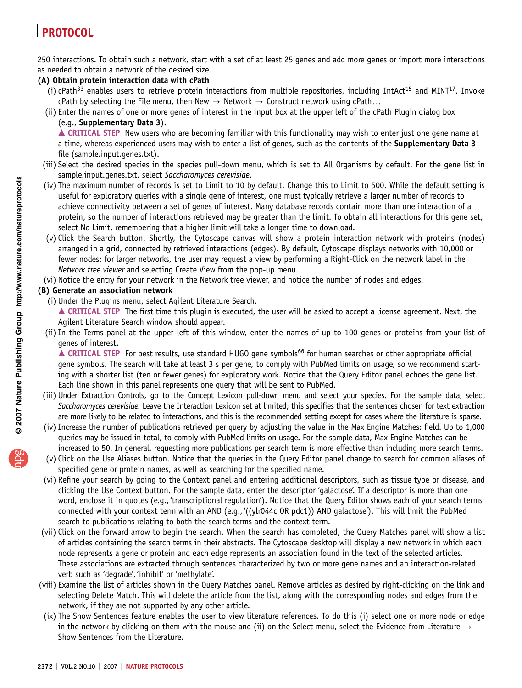250 interactions. To obtain such a network, start with a set of at least 25 genes and add more genes or import more interactions as needed to obtain a network of the desired size.

### (A) Obtain protein interaction data with cPath

- (i) cPath<sup>33</sup> enables users to retrieve protein interactions from multiple repositories, including IntAct<sup>15</sup> and MINT<sup>17</sup>. Invoke cPath by selecting the File menu, then New  $\rightarrow$  Network  $\rightarrow$  Construct network using cPath...
- (ii) Enter the names of one or more genes of interest in the input box at the upper left of the cPath Plugin dialog box (e.g., Supplementary Data 3).

▲ CRITICAL STEP New users who are becoming familiar with this functionality may wish to enter just one gene name at a time, whereas experienced users may wish to enter a list of genes, such as the contents of the Supplementary Data 3 file (sample.input.genes.txt).

- (iii) Select the desired species in the species pull-down menu, which is set to All Organisms by default. For the gene list in sample.input.genes.txt, select Saccharomyces cerevisiae.
- (iv) The maximum number of records is set to Limit to 10 by default. Change this to Limit to 500. While the default setting is useful for exploratory queries with a single gene of interest, one must typically retrieve a larger number of records to achieve connectivity between a set of genes of interest. Many database records contain more than one interaction of a protein, so the number of interactions retrieved may be greater than the limit. To obtain all interactions for this gene set, select No Limit, remembering that a higher limit will take a longer time to download.
- (v) Click the Search button. Shortly, the Cytoscape canvas will show a protein interaction network with proteins (nodes) arranged in a grid, connected by retrieved interactions (edges). By default, Cytoscape displays networks with 10,000 or fewer nodes; for larger networks, the user may request a view by performing a Right-Click on the network label in the Network tree viewer and selecting Create View from the pop-up menu.
- (vi) Notice the entry for your network in the Network tree viewer, and notice the number of nodes and edges.

### (B) Generate an association network

- (i) Under the Plugins menu, select Agilent Literature Search.
	- $\triangle$  CRITICAL STEP The first time this plugin is executed, the user will be asked to accept a license agreement. Next, the Agilent Literature Search window should appear.
- (ii) In the Terms panel at the upper left of this window, enter the names of up to 100 genes or proteins from your list of genes of interest.

■ CRITICAL STEP For best results, use standard HUGO gene symbols<sup>66</sup> for human searches or other appropriate official gene symbols. The search will take at least 3 s per gene, to comply with PubMed limits on usage, so we recommend starting with a shorter list (ten or fewer genes) for exploratory work. Notice that the Query Editor panel echoes the gene list. Each line shown in this panel represents one query that will be sent to PubMed.

- (iii) Under Extraction Controls, go to the Concept Lexicon pull-down menu and select your species. For the sample data, select Saccharomyces cerevisiae. Leave the Interaction Lexicon set at limited; this specifies that the sentences chosen for text extraction are more likely to be related to interactions, and this is the recommended setting except for cases where the literature is sparse.
- (iv) Increase the number of publications retrieved per query by adjusting the value in the Max Engine Matches: field. Up to 1,000 queries may be issued in total, to comply with PubMed limits on usage. For the sample data, Max Engine Matches can be increased to 50. In general, requesting more publications per search term is more effective than including more search terms.
- (v) Click on the Use Aliases button. Notice that the queries in the Query Editor panel change to search for common aliases of specified gene or protein names, as well as searching for the specified name.
- (vi) Refine your search by going to the Context panel and entering additional descriptors, such as tissue type or disease, and clicking the Use Context button. For the sample data, enter the descriptor 'galactose'. If a descriptor is more than one word, enclose it in quotes (e.g.,'transcriptional regulation'). Notice that the Query Editor shows each of your search terms connected with your context term with an AND (e.g.,'((ylr044c OR pdc1)) AND galactose'). This will limit the PubMed search to publications relating to both the search terms and the context term.
- (vii) Click on the forward arrow to begin the search. When the search has completed, the Query Matches panel will show a list of articles containing the search terms in their abstracts. The Cytoscape desktop will display a new network in which each node represents a gene or protein and each edge represents an association found in the text of the selected articles. These associations are extracted through sentences characterized by two or more gene names and an interaction-related verb such as 'degrade','inhibit' or 'methylate'.
- (viii) Examine the list of articles shown in the Query Matches panel. Remove articles as desired by right-clicking on the link and selecting Delete Match. This will delete the article from the list, along with the corresponding nodes and edges from the network, if they are not supported by any other article.
- (ix) The Show Sentences feature enables the user to view literature references. To do this (i) select one or more node or edge in the network by clicking on them with the mouse and (ii) on the Select menu, select the Evidence from Literature  $\rightarrow$ Show Sentences from the Literature.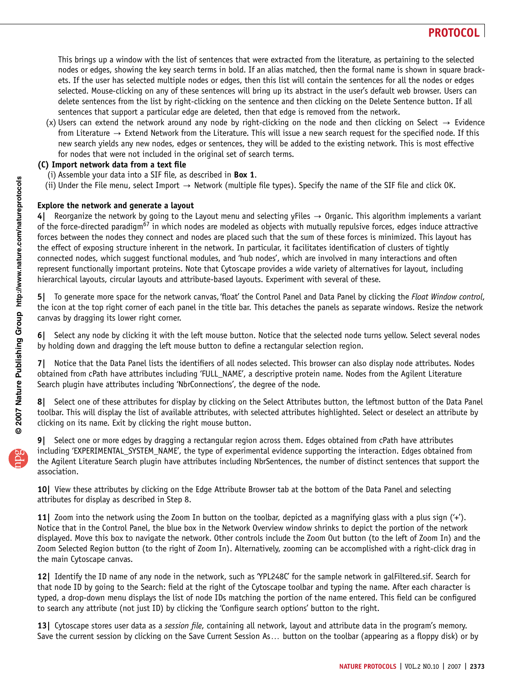This brings up a window with the list of sentences that were extracted from the literature, as pertaining to the selected nodes or edges, showing the key search terms in bold. If an alias matched, then the formal name is shown in square brackets. If the user has selected multiple nodes or edges, then this list will contain the sentences for all the nodes or edges selected. Mouse-clicking on any of these sentences will bring up its abstract in the user's default web browser. Users can delete sentences from the list by right-clicking on the sentence and then clicking on the Delete Sentence button. If all sentences that support a particular edge are deleted, then that edge is removed from the network.

(x) Users can extend the network around any node by right-clicking on the node and then clicking on Select  $\rightarrow$  Evidence from Literature  $\rightarrow$  Extend Network from the Literature. This will issue a new search request for the specified node. If this new search yields any new nodes, edges or sentences, they will be added to the existing network. This is most effective for nodes that were not included in the original set of search terms.

### (C) Import network data from a text file

(i) Assemble your data into a SIF file, as described in Box 1.

(ii) Under the File menu, select Import  $\rightarrow$  Network (multiple file types). Specify the name of the SIF file and click OK.

### Explore the network and generate a layout

Reorganize the network by going to the Layout menu and selecting yFiles  $\rightarrow$  Organic. This algorithm implements a variant of the force-directed paradigm<sup>67</sup> in which nodes are modeled as objects with mutually repulsive forces, edges induce attractive forces between the nodes they connect and nodes are placed such that the sum of these forces is minimized. This layout has the effect of exposing structure inherent in the network. In particular, it facilitates identification of clusters of tightly connected nodes, which suggest functional modules, and 'hub nodes', which are involved in many interactions and often represent functionally important proteins. Note that Cytoscape provides a wide variety of alternatives for layout, including hierarchical layouts, circular layouts and attribute-based layouts. Experiment with several of these.

To generate more space for the network canvas, 'float' the Control Panel and Data Panel by clicking the Float Window control, the icon at the top right corner of each panel in the title bar. This detaches the panels as separate windows. Resize the network canvas by dragging its lower right corner.

6| Select any node by clicking it with the left mouse button. Notice that the selected node turns yellow. Select several nodes by holding down and dragging the left mouse button to define a rectangular selection region.

7| Notice that the Data Panel lists the identifiers of all nodes selected. This browser can also display node attributes. Nodes obtained from cPath have attributes including 'FULL\_NAME', a descriptive protein name. Nodes from the Agilent Literature Search plugin have attributes including 'NbrConnections', the degree of the node.

8| Select one of these attributes for display by clicking on the Select Attributes button, the leftmost button of the Data Panel toolbar. This will display the list of available attributes, with selected attributes highlighted. Select or deselect an attribute by clicking on its name. Exit by clicking the right mouse button.

9| Select one or more edges by dragging a rectangular region across them. Edges obtained from cPath have attributes including 'EXPERIMENTAL\_SYSTEM\_NAME', the type of experimental evidence supporting the interaction. Edges obtained from the Agilent Literature Search plugin have attributes including NbrSentences, the number of distinct sentences that support the association.

10 View these attributes by clicking on the Edge Attribute Browser tab at the bottom of the Data Panel and selecting attributes for display as described in Step 8.

11| Zoom into the network using the Zoom In button on the toolbar, depicted as a magnifying glass with a plus sign  $(4)$ . Notice that in the Control Panel, the blue box in the Network Overview window shrinks to depict the portion of the network displayed. Move this box to navigate the network. Other controls include the Zoom Out button (to the left of Zoom In) and the Zoom Selected Region button (to the right of Zoom In). Alternatively, zooming can be accomplished with a right-click drag in the main Cytoscape canvas.

12| Identify the ID name of any node in the network, such as 'YPL248C' for the sample network in galFiltered.sif. Search for that node ID by going to the Search: field at the right of the Cytoscape toolbar and typing the name. After each character is typed, a drop-down menu displays the list of node IDs matching the portion of the name entered. This field can be configured to search any attribute (not just ID) by clicking the 'Configure search options' button to the right.

13| Cytoscape stores user data as a session file, containing all network, layout and attribute data in the program's memory. Save the current session by clicking on the Save Current Session As... button on the toolbar (appearing as a floppy disk) or by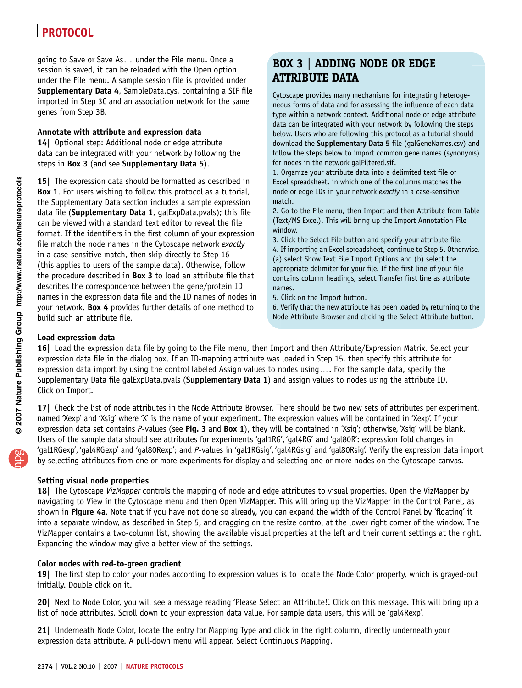going to Save or Save As... under the File menu. Once a session is saved, it can be reloaded with the Open option under the File menu. A sample session file is provided under Supplementary Data 4, SampleData.cys, containing a SIF file imported in Step 3C and an association network for the same genes from Step 3B.

### Annotate with attribute and expression data

14| Optional step: Additional node or edge attribute data can be integrated with your network by following the steps in Box 3 (and see Supplementary Data 5).

15| The expression data should be formatted as described in Box 1. For users wishing to follow this protocol as a tutorial, the Supplementary Data section includes a sample expression data file (Supplementary Data 1, galExpData.pvals); this file can be viewed with a standard text editor to reveal the file format. If the identifiers in the first column of your expression file match the node names in the Cytoscape network exactly in a case-sensitive match, then skip directly to Step 16 (this applies to users of the sample data). Otherwise, follow the procedure described in Box 3 to load an attribute file that describes the correspondence between the gene/protein ID names in the expression data file and the ID names of nodes in your network. Box 4 provides further details of one method to build such an attribute file.

## BOX 3 | ADDING NODE OR EDGE ATTRIBUTE DATA

Cytoscape provides many mechanisms for integrating heterogeneous forms of data and for assessing the influence of each data type within a network context. Additional node or edge attribute data can be integrated with your network by following the steps below. Users who are following this protocol as a tutorial should download the Supplementary Data 5 file (galGeneNames.csv) and follow the steps below to import common gene names (synonyms) for nodes in the network galFiltered.sif.

1. Organize your attribute data into a delimited text file or Excel spreadsheet, in which one of the columns matches the node or edge IDs in your network exactly in a case-sensitive match.

2. Go to the File menu, then Import and then Attribute from Table (Text/MS Excel). This will bring up the Import Annotation File window.

3. Click the Select File button and specify your attribute file. 4. If importing an Excel spreadsheet, continue to Step 5. Otherwise, (a) select Show Text File Import Options and (b) select the appropriate delimiter for your file. If the first line of your file contains column headings, select Transfer first line as attribute names.

5. Click on the Import button.

6. Verify that the new attribute has been loaded by returning to the Node Attribute Browser and clicking the Select Attribute button.

### Load expression data

16| Load the expression data file by going to the File menu, then Import and then Attribute/Expression Matrix. Select your expression data file in the dialog box. If an ID-mapping attribute was loaded in Step 15, then specify this attribute for expression data import by using the control labeled Assign values to nodes using.... For the sample data, specify the Supplementary Data file galExpData.pvals (Supplementary Data 1) and assign values to nodes using the attribute ID. Click on Import.

17| Check the list of node attributes in the Node Attribute Browser. There should be two new sets of attributes per experiment, named 'Xexp' and 'Xsig' where 'X' is the name of your experiment. The expression values will be contained in 'Xexp'. If your expression data set contains P-values (see Fig. 3 and Box 1), they will be contained in 'Xsiq'; otherwise, 'Xsiq' will be blank. Users of the sample data should see attributes for experiments 'gal1RG','gal4RG' and 'gal80R': expression fold changes in 'gal1RGexp','gal4RGexp' and 'gal80Rexp'; and P-values in 'gal1RGsig','gal4RGsig' and 'gal80Rsig'. Verify the expression data import by selecting attributes from one or more experiments for display and selecting one or more nodes on the Cytoscape canvas.

### Setting visual node properties

18| The Cytoscape VizMapper controls the mapping of node and edge attributes to visual properties. Open the VizMapper by navigating to View in the Cytoscape menu and then Open VizMapper. This will bring up the VizMapper in the Control Panel, as shown in Figure 4a. Note that if you have not done so already, you can expand the width of the Control Panel by 'floating' it into a separate window, as described in Step 5, and dragging on the resize control at the lower right corner of the window. The VizMapper contains a two-column list, showing the available visual properties at the left and their current settings at the right. Expanding the window may give a better view of the settings.

### Color nodes with red-to-green gradient

19| The first step to color your nodes according to expression values is to locate the Node Color property, which is grayed-out initially. Double click on it.

20| Next to Node Color, you will see a message reading 'Please Select an Attribute!'. Click on this message. This will bring up a list of node attributes. Scroll down to your expression data value. For sample data users, this will be 'gal4Rexp'.

21| Underneath Node Color, locate the entry for Mapping Type and click in the right column, directly underneath your expression data attribute. A pull-down menu will appear. Select Continuous Mapping.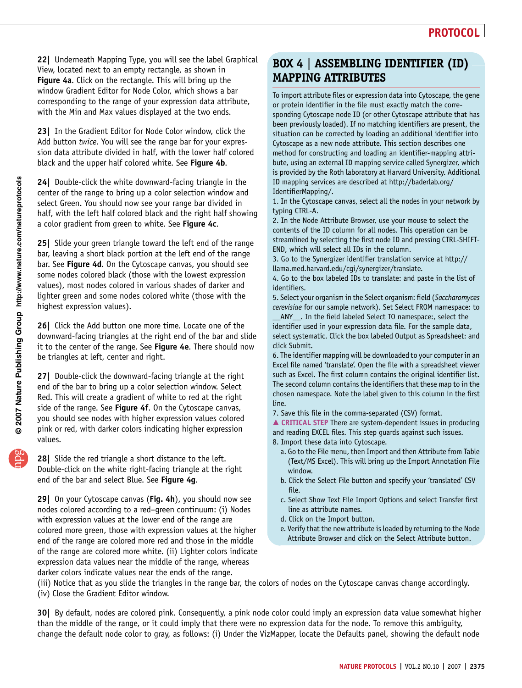22| Underneath Mapping Type, you will see the label Graphical View, located next to an empty rectangle, as shown in **Figure 4a.** Click on the rectangle. This will bring up the window Gradient Editor for Node Color, which shows a bar corresponding to the range of your expression data attribute, with the Min and Max values displayed at the two ends.

23| In the Gradient Editor for Node Color window, click the Add button *twice*. You will see the range bar for your expression data attribute divided in half, with the lower half colored black and the upper half colored white. See Figure 4b.

24| Double-click the white downward-facing triangle in the center of the range to bring up a color selection window and select Green. You should now see your range bar divided in half, with the left half colored black and the right half showing a color gradient from green to white. See Figure 4c.

25| Slide your green triangle toward the left end of the range bar, leaving a short black portion at the left end of the range bar. See Figure 4d. On the Cytoscape canvas, you should see some nodes colored black (those with the lowest expression values), most nodes colored in various shades of darker and lighter green and some nodes colored white (those with the highest expression values).

26| Click the Add button one more time. Locate one of the downward-facing triangles at the right end of the bar and slide it to the center of the range. See Figure 4e. There should now be triangles at left, center and right.

27| Double-click the downward-facing triangle at the right end of the bar to bring up a color selection window. Select Red. This will create a gradient of white to red at the right side of the range. See Figure 4f. On the Cytoscape canvas, you should see nodes with higher expression values colored pink or red, with darker colors indicating higher expression values.

28| Slide the red triangle a short distance to the left. Double-click on the white right-facing triangle at the right end of the bar and select Blue. See Figure 4g.

29| On your Cytoscape canvas (Fig. 4h), you should now see nodes colored according to a red–green continuum: (i) Nodes with expression values at the lower end of the range are colored more green, those with expression values at the higher end of the range are colored more red and those in the middle of the range are colored more white. (ii) Lighter colors indicate expression data values near the middle of the range, whereas darker colors indicate values near the ends of the range.

## BOX 4 | ASSEMBLING IDENTIFIER (ID) MAPPING ATTRIBUTES

To import attribute files or expression data into Cytoscape, the gene or protein identifier in the file must exactly match the corresponding Cytoscape node ID (or other Cytoscape attribute that has been previously loaded). If no matching identifiers are present, the situation can be corrected by loading an additional identifier into Cytoscape as a new node attribute. This section describes one method for constructing and loading an identifier-mapping attribute, using an external ID mapping service called Synergizer, which is provided by the Roth laboratory at Harvard University. Additional ID mapping services are described at http://baderlab.org/ IdentifierMapping/.

1. In the Cytoscape canvas, select all the nodes in your network by typing CTRL-A.

2. In the Node Attribute Browser, use your mouse to select the contents of the ID column for all nodes. This operation can be streamlined by selecting the first node ID and pressing CTRL-SHIFT-END, which will select all IDs in the column.

3. Go to the Synergizer identifier translation service at http:// llama.med.harvard.edu/cgi/synergizer/translate.

4. Go to the box labeled IDs to translate: and paste in the list of identifiers.

5. Select your organism in the Select organism: field (Saccharomyces cerevisiae for our sample network). Set Select FROM namespace: to

ANY\_\_. In the field labeled Select TO namespace:, select the identifier used in your expression data file. For the sample data, select systematic. Click the box labeled Output as Spreadsheet: and click Submit.

6. The identifier mapping will be downloaded to your computer in an Excel file named 'translate'. Open the file with a spreadsheet viewer such as Excel. The first column contains the original identifier list. The second column contains the identifiers that these map to in the chosen namespace. Note the label given to this column in the first line.

7. Save this file in the comma-separated (CSV) format.

▲ CRITICAL STEP There are system-dependent issues in producing and reading EXCEL files. This step guards against such issues.

- 8. Import these data into Cytoscape.
	- a. Go to the File menu, then Import and then Attribute from Table (Text/MS Excel). This will bring up the Import Annotation File window.
	- b. Click the Select File button and specify your 'translated' CSV file.
	- c. Select Show Text File Import Options and select Transfer first line as attribute names.
	- d. Click on the Import button.
	- e. Verify that the new attribute is loaded by returning to the Node Attribute Browser and click on the Select Attribute button.

(iii) Notice that as you slide the triangles in the range bar, the colors of nodes on the Cytoscape canvas change accordingly. (iv) Close the Gradient Editor window.

30| By default, nodes are colored pink. Consequently, a pink node color could imply an expression data value somewhat higher than the middle of the range, or it could imply that there were no expression data for the node. To remove this ambiguity, change the default node color to gray, as follows: (i) Under the VizMapper, locate the Defaults panel, showing the default node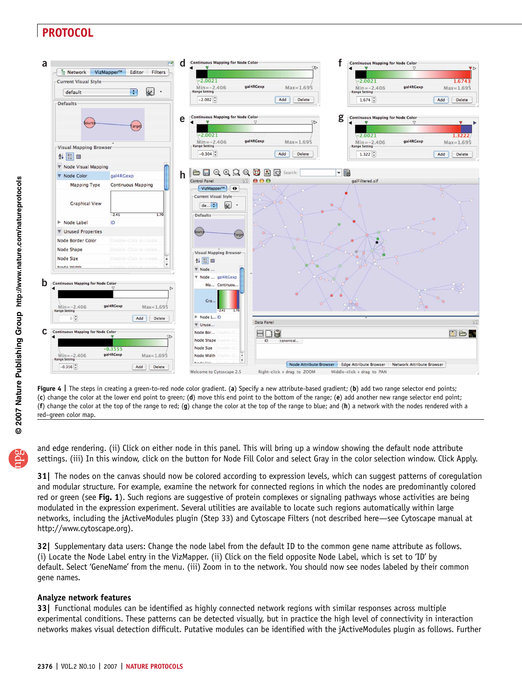

Figure 4 | The steps in creating a green-to-red node color gradient. (a) Specify a new attribute-based gradient; (b) add two range selector end points; (c) change the color at the lower end point to green; (d) move this end point to the bottom of the range; (e) add another new range selector end point; (f) change the color at the top of the range to red; (g) change the color at the top of the range to blue; and (h) a network with the nodes rendered with a red–green color map.

and edge rendering. (ii) Click on either node in this panel. This will bring up a window showing the default node attribute settings. (iii) In this window, click on the button for Node Fill Color and select Gray in the color selection window. Click Apply.

31| The nodes on the canvas should now be colored according to expression levels, which can suggest patterns of coregulation and modular structure. For example, examine the network for connected regions in which the nodes are predominantly colored red or green (see Fig. 1). Such regions are suggestive of protein complexes or signaling pathways whose activities are being modulated in the expression experiment. Several utilities are available to locate such regions automatically within large networks, including the jActiveModules plugin (Step 33) and Cytoscape Filters (not described here—see Cytoscape manual at http://www.cytoscape.org).

32| Supplementary data users: Change the node label from the default ID to the common gene name attribute as follows. (i) Locate the Node Label entry in the VizMapper. (ii) Click on the field opposite Node Label, which is set to 'ID' by default. Select 'GeneName' from the menu. (iii) Zoom in to the network. You should now see nodes labeled by their common gene names.

#### Analyze network features

33| Functional modules can be identified as highly connected network regions with similar responses across multiple experimental conditions. These patterns can be detected visually, but in practice the high level of connectivity in interaction networks makes visual detection difficult. Putative modules can be identified with the jActiveModules plugin as follows. Further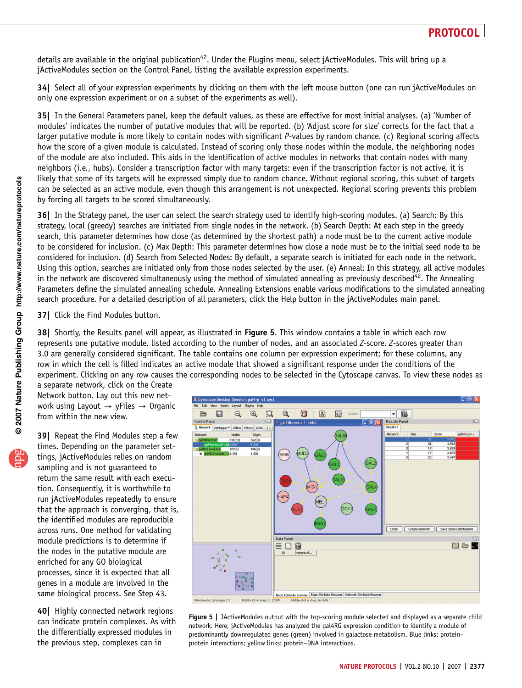details are available in the original publication<sup>42</sup>. Under the Plugins menu, select jActiveModules. This will bring up a jActiveModules section on the Control Panel, listing the available expression experiments.

34| Select all of your expression experiments by clicking on them with the left mouse button (one can run jActiveModules on only one expression experiment or on a subset of the experiments as well).

35| In the General Parameters panel, keep the default values, as these are effective for most initial analyses. (a) 'Number of modules' indicates the number of putative modules that will be reported. (b) 'Adjust score for size' corrects for the fact that a larger putative module is more likely to contain nodes with significant P-values by random chance. (c) Regional scoring affects how the score of a given module is calculated. Instead of scoring only those nodes within the module, the neighboring nodes of the module are also included. This aids in the identification of active modules in networks that contain nodes with many neighbors (i.e., hubs). Consider a transcription factor with many targets: even if the transcription factor is not active, it is likely that some of its targets will be expressed simply due to random chance. Without regional scoring, this subset of targets can be selected as an active module, even though this arrangement is not unexpected. Regional scoring prevents this problem by forcing all targets to be scored simultaneously.

36| In the Strategy panel, the user can select the search strategy used to identify high-scoring modules. (a) Search: By this strategy, local (greedy) searches are initiated from single nodes in the network. (b) Search Depth: At each step in the greedy search, this parameter determines how close (as determined by the shortest path) a node must be to the current active module to be considered for inclusion. (c) Max Depth: This parameter determines how close a node must be to the initial seed node to be considered for inclusion. (d) Search from Selected Nodes: By default, a separate search is initiated for each node in the network. Using this option, searches are initiated only from those nodes selected by the user. (e) Anneal: In this strategy, all active modules in the network are discovered simultaneously using the method of simulated annealing as previously described<sup>42</sup>. The Annealing Parameters define the simulated annealing schedule. Annealing Extensions enable various modifications to the simulated annealing search procedure. For a detailed description of all parameters, click the Help button in the jActiveModules main panel.

37| Click the Find Modules button.

38| Shortly, the Results panel will appear, as illustrated in Figure 5. This window contains a table in which each row represents one putative module, listed according to the number of nodes, and an associated Z-score. Z-scores greater than 3.0 are generally considered significant. The table contains one column per expression experiment; for these columns, any row in which the cell is filled indicates an active module that showed a significant response under the conditions of the experiment. Clicking on any row causes the corresponding nodes to be selected in the Cytoscape canvas. To view these nodes as

a separate network, click on the Create Network button. Lay out this new network using Layout  $\rightarrow$  yFiles  $\rightarrow$  Organic from within the new view.

39| Repeat the Find Modules step a few times. Depending on the parameter settings, jActiveModules relies on random sampling and is not guaranteed to return the same result with each execution. Consequently, it is worthwhile to run jActiveModules repeatedly to ensure that the approach is converging, that is, the identified modules are reproducible across runs. One method for validating module predictions is to determine if the nodes in the putative module are enriched for any GO biological processes, since it is expected that all genes in a module are involved in the same biological process. See Step 43.

40 | Highly connected network regions can indicate protein complexes. As with the differentially expressed modules in the previous step, complexes can in



Figure 5 | JActiveModules output with the top-scoring module selected and displayed as a separate child network. Here, jActiveModules has analyzed the gal4RG expression condition to identify a module of predominantly downregulated genes (green) involved in galactose metabolism. Blue links: protein– protein interactions; yellow links: protein–DNA interactions.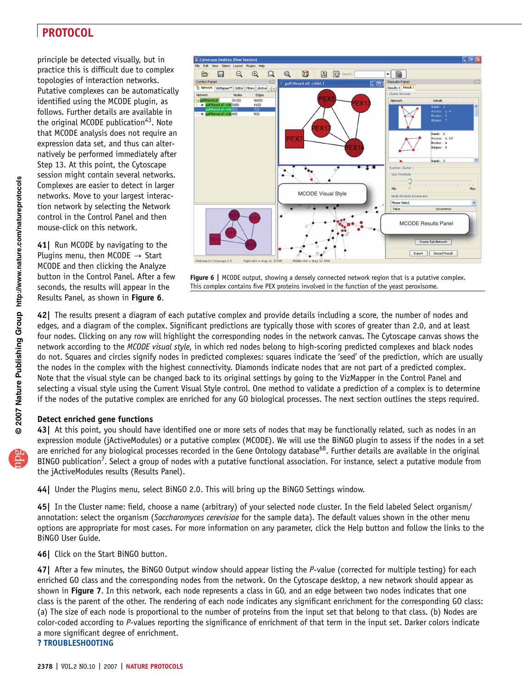principle be detected visually, but in practice this is difficult due to complex topologies of interaction networks. Putative complexes can be automatically identified using the MCODE plugin, as follows. Further details are available in the original MCODE publication $43$ . Note that MCODE analysis does not require an expression data set, and thus can alternatively be performed immediately after Step 13. At this point, the Cytoscape session might contain several networks. Complexes are easier to detect in larger networks. Move to your largest interaction network by selecting the Network control in the Control Panel and then mouse-click on this network.

41| Run MCODE by navigating to the Plugins menu, then MCODE  $\rightarrow$  Start MCODE and then clicking the Analyze button in the Control Panel. After a few seconds, the results will appear in the Results Panel, as shown in Figure 6.





42| The results present a diagram of each putative complex and provide details including a score, the number of nodes and edges, and a diagram of the complex. Significant predictions are typically those with scores of greater than 2.0, and at least four nodes. Clicking on any row will highlight the corresponding nodes in the network canvas. The Cytoscape canvas shows the network according to the MCODE visual style, in which red nodes belong to high-scoring predicted complexes and black nodes do not. Squares and circles signify nodes in predicted complexes: squares indicate the 'seed' of the prediction, which are usually the nodes in the complex with the highest connectivity. Diamonds indicate nodes that are not part of a predicted complex. Note that the visual style can be changed back to its original settings by going to the VizMapper in the Control Panel and selecting a visual style using the Current Visual Style control. One method to validate a prediction of a complex is to determine if the nodes of the putative complex are enriched for any GO biological processes. The next section outlines the steps required.

#### Detect enriched gene functions

43 At this point, you should have identified one or more sets of nodes that may be functionally related, such as nodes in an expression module (jActiveModules) or a putative complex (MCODE). We will use the BiNGO plugin to assess if the nodes in a set are enriched for any biological processes recorded in the Gene Ontology database<sup>68</sup>. Further details are available in the original BINGO publication<sup>7</sup>. Select a group of nodes with a putative functional association. For instance, select a putative module from the jActiveModules results (Results Panel).

44| Under the Plugins menu, select BiNGO 2.0. This will bring up the BiNGO Settings window.

45| In the Cluster name: field, choose a name (arbitrary) of your selected node cluster. In the field labeled Select organism/ annotation: select the organism (Saccharomyces cerevisiae for the sample data). The default values shown in the other menu options are appropriate for most cases. For more information on any parameter, click the Help button and follow the links to the BiNGO User Guide.

46 Click on the Start BiNGO button.

47| After a few minutes, the BiNGO Output window should appear listing the P-value (corrected for multiple testing) for each enriched GO class and the corresponding nodes from the network. On the Cytoscape desktop, a new network should appear as shown in Figure 7. In this network, each node represents a class in GO, and an edge between two nodes indicates that one class is the parent of the other. The rendering of each node indicates any significant enrichment for the corresponding GO class: (a) The size of each node is proportional to the number of proteins from the input set that belong to that class. (b) Nodes are color-coded according to P-values reporting the significance of enrichment of that term in the input set. Darker colors indicate a more significant degree of enrichment.

? TROUBLESHOOTING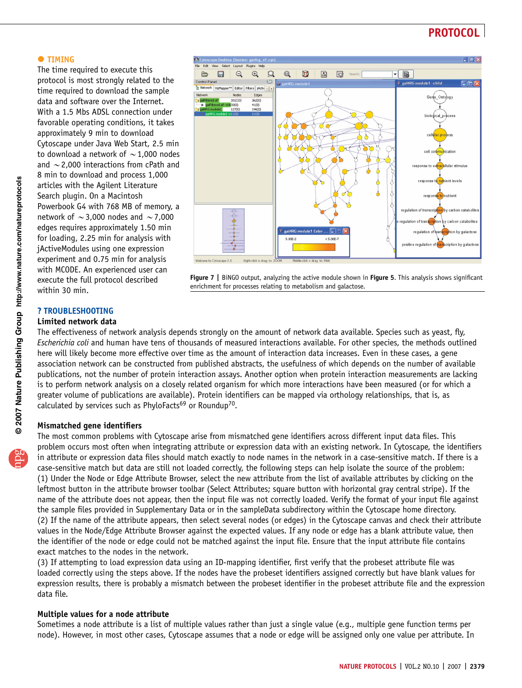#### **• TIMING**

The time required to execute this protocol is most strongly related to the time required to download the sample data and software over the Internet. With a 1.5 Mbs ADSL connection under favorable operating conditions, it takes approximately 9 min to download Cytoscape under Java Web Start, 2.5 min to download a network of  $\sim$  1,000 nodes and  $\sim$  2.000 interactions from cPath and 8 min to download and process 1,000 articles with the Agilent Literature Search plugin. On a Macintosh Powerbook G4 with 768 MB of memory, a network of  $\sim$  3,000 nodes and  $\sim$  7,000 edges requires approximately 1.50 min for loading, 2.25 min for analysis with jActiveModules using one expression experiment and 0.75 min for analysis with MCODE. An experienced user can execute the full protocol described within 30 min.



Figure 7 | BiNGO output, analyzing the active module shown in Figure 5. This analysis shows significant enrichment for processes relating to metabolism and galactose.

### ? TROUBLESHOOTING

### Limited network data

The effectiveness of network analysis depends strongly on the amount of network data available. Species such as yeast, fly, Escherichia coli and human have tens of thousands of measured interactions available. For other species, the methods outlined here will likely become more effective over time as the amount of interaction data increases. Even in these cases, a gene association network can be constructed from published abstracts, the usefulness of which depends on the number of available publications, not the number of protein interaction assays. Another option when protein interaction measurements are lacking is to perform network analysis on a closely related organism for which more interactions have been measured (or for which a greater volume of publications are available). Protein identifiers can be mapped via orthology relationships, that is, as calculated by services such as PhyloFacts<sup>69</sup> or Roundup<sup>70</sup>.

#### Mismatched gene identifiers

The most common problems with Cytoscape arise from mismatched gene identifiers across different input data files. This problem occurs most often when integrating attribute or expression data with an existing network. In Cytoscape, the identifiers in attribute or expression data files should match exactly to node names in the network in a case-sensitive match. If there is a case-sensitive match but data are still not loaded correctly, the following steps can help isolate the source of the problem: (1) Under the Node or Edge Attribute Browser, select the new attribute from the list of available attributes by clicking on the leftmost button in the attribute browser toolbar (Select Attributes; square button with horizontal gray central stripe). If the name of the attribute does not appear, then the input file was not correctly loaded. Verify the format of your input file against the sample files provided in Supplementary Data or in the sampleData subdirectory within the Cytoscape home directory. (2) If the name of the attribute appears, then select several nodes (or edges) in the Cytoscape canvas and check their attribute values in the Node/Edge Attribute Browser against the expected values. If any node or edge has a blank attribute value, then the identifier of the node or edge could not be matched against the input file. Ensure that the input attribute file contains exact matches to the nodes in the network.

(3) If attempting to load expression data using an ID-mapping identifier, first verify that the probeset attribute file was loaded correctly using the steps above. If the nodes have the probeset identifiers assigned correctly but have blank values for expression results, there is probably a mismatch between the probeset identifier in the probeset attribute file and the expression data file.

#### Multiple values for a node attribute

Sometimes a node attribute is a list of multiple values rather than just a single value (e.g., multiple gene function terms per node). However, in most other cases, Cytoscape assumes that a node or edge will be assigned only one value per attribute. In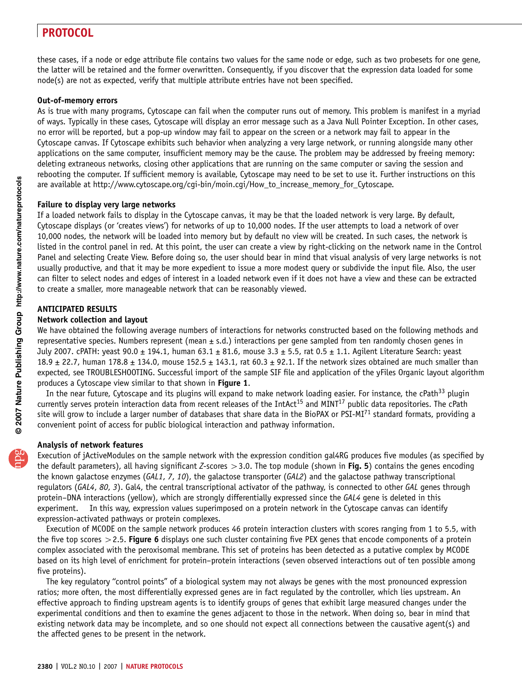these cases, if a node or edge attribute file contains two values for the same node or edge, such as two probesets for one gene, the latter will be retained and the former overwritten. Consequently, if you discover that the expression data loaded for some node(s) are not as expected, verify that multiple attribute entries have not been specified.

### Out-of-memory errors

As is true with many programs, Cytoscape can fail when the computer runs out of memory. This problem is manifest in a myriad of ways. Typically in these cases, Cytoscape will display an error message such as a Java Null Pointer Exception. In other cases, no error will be reported, but a pop-up window may fail to appear on the screen or a network may fail to appear in the Cytoscape canvas. If Cytoscape exhibits such behavior when analyzing a very large network, or running alongside many other applications on the same computer, insufficient memory may be the cause. The problem may be addressed by freeing memory: deleting extraneous networks, closing other applications that are running on the same computer or saving the session and rebooting the computer. If sufficient memory is available, Cytoscape may need to be set to use it. Further instructions on this are available at http://www.cytoscape.org/cgi-bin/moin.cgi/How\_to\_increase\_memory\_for\_Cytoscape.

### Failure to display very large networks

If a loaded network fails to display in the Cytoscape canvas, it may be that the loaded network is very large. By default, Cytoscape displays (or 'creates views') for networks of up to 10,000 nodes. If the user attempts to load a network of over 10,000 nodes, the network will be loaded into memory but by default no view will be created. In such cases, the network is listed in the control panel in red. At this point, the user can create a view by right-clicking on the network name in the Control Panel and selecting Create View. Before doing so, the user should bear in mind that visual analysis of very large networks is not usually productive, and that it may be more expedient to issue a more modest query or subdivide the input file. Also, the user can filter to select nodes and edges of interest in a loaded network even if it does not have a view and these can be extracted to create a smaller, more manageable network that can be reasonably viewed.

### ANTICIPATED RESULTS

### Network collection and layout

We have obtained the following average numbers of interactions for networks constructed based on the following methods and representative species. Numbers represent (mean  $\pm$  s.d.) interactions per gene sampled from ten randomly chosen genes in July 2007. cPATH: yeast 90.0  $\pm$  194.1, human 63.1  $\pm$  81.6, mouse 3.3  $\pm$  5.5, rat 0.5  $\pm$  1.1. Agilent Literature Search: yeast 18.9  $\pm$  22.7, human 178.8  $\pm$  134.0, mouse 152.5  $\pm$  143.1, rat 60.3  $\pm$  92.1. If the network sizes obtained are much smaller than expected, see TROUBLESHOOTING. Successful import of the sample SIF file and application of the yFiles Organic layout algorithm produces a Cytoscape view similar to that shown in Figure 1.

In the near future, Cytoscape and its plugins will expand to make network loading easier. For instance, the cPath<sup>33</sup> plugin currently serves protein interaction data from recent releases of the IntAct<sup>15</sup> and MINT<sup>17</sup> public data repositories. The cPath site will grow to include a larger number of databases that share data in the BioPAX or PSI-MI<sup>71</sup> standard formats, providing a convenient point of access for public biological interaction and pathway information.

### Analysis of network features

Execution of jActiveModules on the sample network with the expression condition gal4RG produces five modules (as specified by the default parameters), all having significant Z-scores  $>$ 3.0. The top module (shown in Fig. 5) contains the genes encoding the known galactose enzymes (GAL1, 7, 10), the galactose transporter (GAL2) and the galactose pathway transcriptional regulators (GAL4, 80, 3). Gal4, the central transcriptional activator of the pathway, is connected to other GAL genes through protein–DNA interactions (yellow), which are strongly differentially expressed since the GAL4 gene is deleted in this experiment. In this way, expression values superimposed on a protein network in the Cytoscape canvas can identify expression-activated pathways or protein complexes.

Execution of MCODE on the sample network produces 46 protein interaction clusters with scores ranging from 1 to 5.5, with the five top scores  $>$  2.5. Figure 6 displays one such cluster containing five PEX genes that encode components of a protein complex associated with the peroxisomal membrane. This set of proteins has been detected as a putative complex by MCODE based on its high level of enrichment for protein–protein interactions (seven observed interactions out of ten possible among five proteins).

The key regulatory ''control points'' of a biological system may not always be genes with the most pronounced expression ratios; more often, the most differentially expressed genes are in fact regulated by the controller, which lies upstream. An effective approach to finding upstream agents is to identify groups of genes that exhibit large measured changes under the experimental conditions and then to examine the genes adjacent to those in the network. When doing so, bear in mind that existing network data may be incomplete, and so one should not expect all connections between the causative agent(s) and the affected genes to be present in the network.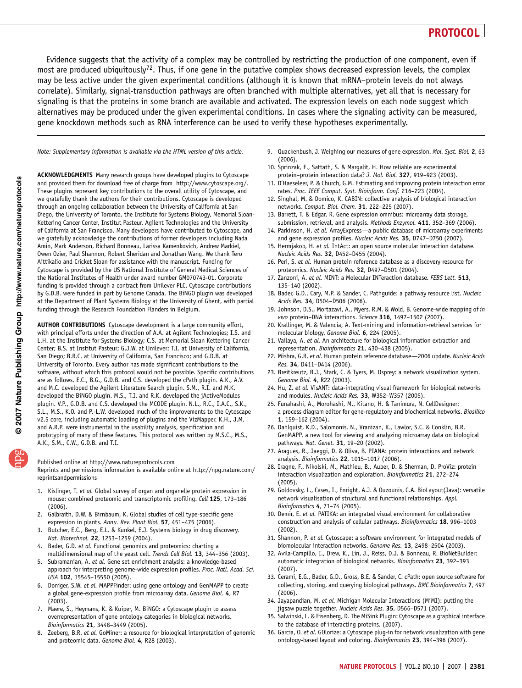Evidence suggests that the activity of a complex may be controlled by restricting the production of one component, even if most are produced ubiquitously<sup>72</sup>. Thus, if one gene in the putative complex shows decreased expression levels, the complex may be less active under the given experimental conditions (although it is known that mRNA–protein levels do not always correlate). Similarly, signal-transduction pathways are often branched with multiple alternatives, yet all that is necessary for signaling is that the proteins in some branch are available and activated. The expression levels on each node suggest which alternatives may be produced under the given experimental conditions. In cases where the signaling activity can be measured, gene knockdown methods such as RNA interference can be used to verify these hypotheses experimentally.

Note: Supplementary information is available via the HTML version of this article.

ACKNOWLEDGMENTS Many research groups have developed plugins to Cytoscape and provided them for download free of charge from http://www.cytoscape.org/. These plugins represent key contributions to the overall utility of Cytoscape, and we gratefully thank the authors for their contributions. Cytoscape is developed through an ongoing collaboration between the University of California at San Diego, the University of Toronto, the Institute for Systems Biology, Memorial Sloan-Kettering Cancer Center, Institut Pasteur, Agilent Technologies and the University of California at San Francisco. Many developers have contributed to Cytoscape, and we gratefully acknowledge the contributions of former developers including Nada Amin, Mark Anderson, Richard Bonneau, Larissa Kamenkovich, Andrew Markiel, Owen Ozier, Paul Shannon, Robert Sheridan and Jonathan Wang. We thank Tero Aittikalio and Cricket Sloan for assistance with the manuscript. Funding for Cytoscape is provided by the US National Institute of General Medical Sciences of the National Institutes of Health under award number GM070743-01. Corporate funding is provided through a contract from Unilever PLC. Cytoscape contributions by G.D.B. were funded in part by Genome Canada. The BiNGO plugin was developed at the Department of Plant Systems Biology at the University of Ghent, with partial funding through the Research Foundation Flanders in Belgium.

AUTHOR CONTRIBUTIONS Cytoscape development is a large community effort, with principal efforts under the direction of A.A. at Agilent Technologies; I.S. and L.H. at the Institute for Systems Biology; C.S. at Memorial Sloan Kettering Cancer Center; B.S. at Institut Pasteur; G.J.W. at Unilever; T.I. at University of California, San Diego; B.R.C. at University of California, San Francisco; and G.D.B. at University of Toronto. Every author has made significant contributions to the software, without which this protocol would not be possible. Specific contributions are as follows. E.C., B.G., G.D.B. and C.S. developed the cPath plugin. A.K., A.V. and M.C. developed the Agilent Literature Search plugin. S.M., R.I. and M.K. developed the BiNGO plugin. M.S., T.I. and R.K. developed the jActiveModules plugin. V.P., G.D.B. and C.S. developed the MCODE plugin. N.L., R.C., I.A.C., S.K., S.L., M.S., K.O. and P.-L.W. developed much of the improvements to the Cytoscape v2.5 core, including automatic loading of plugins and the VizMapper. K.H., J.M. and A.R.P. were instrumental in the usability analysis, specification and prototyping of many of these features. This protocol was written by M.S.C., M.S., A.K., S.M., C.W., G.D.B. and T.I.

#### Published online at http://www.natureprotocols.com

Reprints and permissions information is available online at http://npg.nature.com/ reprintsandpermissions

- 1. Kislinger, T. et al. Global survey of organ and organelle protein expression in mouse: combined proteomic and transcriptomic profiling. Cell 125, 173–186 (2006).
- 2. Galbraith, D.W. & Birnbaum, K. Global studies of cell type-specific gene expression in plants. Annu. Rev. Plant Biol. 57, 451–475 (2006).
- 3. Butcher, E.C., Berg, E.L. & Kunkel, E.J. Systems biology in drug discovery. Nat. Biotechnol. 22, 1253–1259 (2004).
- Bader, G.D. et al. Functional genomics and proteomics: charting a multidimensional map of the yeast cell. Trends Cell Biol. 13, 344–356 (2003).
- 5. Subramanian, A. et al. Gene set enrichment analysis: a knowledge-based approach for interpreting genome-wide expression profiles. Proc. Natl. Acad. Sci. USA 102, 15545–15550 (2005).
- 6. Doniger, S.W. et al. MAPPFinder: using gene ontology and GenMAPP to create a global gene-expression profile from microarray data. Genome Biol. 4, R7 (2003).
- 7. Maere, S., Heymans, K. & Kuiper, M. BiNGO: a Cytoscape plugin to assess overrepresentation of gene ontology categories in biological networks. Bioinformatics 21, 3448–3449 (2005).
- 8. Zeeberg, B.R. et al. GoMiner: a resource for biological interpretation of genomic and proteomic data. Genome Biol. 4, R28 (2003).
- 9. Quackenbush, J. Weighing our measures of gene expression. Mol. Syst. Biol. 2, 63  $(2006)$
- 10. Sprinzak, E., Sattath, S. & Margalit, H. How reliable are experimental protein–protein interaction data? J. Mol. Biol. 327, 919–923 (2003).
- 11. D'Haeseleer, P. & Church, G.M. Estimating and improving protein interaction error rates. Proc. IEEE Comput. Syst. Bioinform. Conf. 216–223 (2004).
- 12. Singhal, M. & Domico, K. CABIN: collective analysis of biological interaction networks. Comput. Biol. Chem. 31, 222–225 (2007).
- 13. Barrett, T. & Edgar, R. Gene expression omnibus: microarray data storage, submission, retrieval, and analysis. Methods Enzymol. 411, 352-369 (2006).
- 14. Parkinson, H. et al. ArrayExpress-a public database of microarray experiments and gene expression profiles. Nucleic Acids Res. 35, D747–D750 (2007).
- 15. Hermjakob, H. et al. IntAct: an open source molecular interaction database. Nucleic Acids Res. 32, D452–D455 (2004).
- 16. Peri, S. et al. Human protein reference database as a discovery resource for proteomics. Nucleic Acids Res. 32, D497–D501 (2004).
- 17. Zanzoni, A. et al. MINT: a Molecular INTeraction database. FEBS Lett. 513, 135–140 (2002).
- 18. Bader, G.D., Cary, M.P. & Sander, C. Pathguide: a pathway resource list. Nucleic Acids Res. 34, D504–D506 (2006).
- 19. Johnson, D.S., Mortazavi, A., Myers, R.M. & Wold, B. Genome-wide mapping of in vivo protein-DNA interactions. Science 316, 1497-1502 (2007).
- 20. Krallinger, M. & Valencia, A. Text-mining and information-retrieval services for molecular biology. Genome Biol. 6, 224 (2005).
- 21. Vailaya, A. et al. An architecture for biological information extraction and representation. Bioinformatics 21, 430-438 (2005).
- 22. Mishra, G.R. et al. Human protein reference database-2006 update. Nucleic Acids Res. 34, D411–D414 (2006).
- 23. Breitkreutz, B.J., Stark, C. & Tyers, M. Osprey: a network visualization system. Genome Biol. 4, R22 (2003).
- 24. Hu, Z. et al. VisANT: data-integrating visual framework for biological networks and modules. Nucleic Acids Res. 33, W352-W357 (2005).
- 25. Funahashi, A., Morohashi, M., Kitano, H. & Tanimura, N. CellDesigner: a process diagram editor for gene-regulatory and biochemical networks. Biosilico 1, 159–162 (2004).
- 26. Dahlquist, K.D., Salomonis, N., Vranizan, K., Lawlor, S.C. & Conklin, B.R. GenMAPP, a new tool for viewing and analyzing microarray data on biological pathways. Nat. Genet. 31, 19–20 (2002).
- 27. Aragues, R., Jaeggi, D. & Oliva, B. PIANA: protein interactions and network analysis. Bioinformatics 22, 1015–1017 (2006).
- 28. Iragne, F., Nikolski, M., Mathieu, B., Auber, D. & Sherman, D. ProViz: protein interaction visualization and exploration. Bioinformatics 21, 272-274 (2005).
- 29. Goldovsky, L., Cases, I., Enright, A.J. & Ouzounis, C.A. BioLayout(Java): versatile network visualisation of structural and functional relationships. Appl. Bioinformatics 4, 71–74 (2005).
- 30. Demir, E. et al. PATIKA: an integrated visual environment for collaborative construction and analysis of cellular pathways. Bioinformatics 18, 996–1003 (2002).
- 31. Shannon, P. et al. Cytoscape: a software environment for integrated models of biomolecular interaction networks. Genome Res. 13, 2498-2504 (2003).
- 32. Avila-Campillo, I., Drew, K., Lin, J., Reiss, D.J. & Bonneau, R. BioNetBuilder: automatic integration of biological networks. Bioinformatics 23, 392-393 (2007).
- 33. Cerami, E.G., Bader, G.D., Gross, B.E. & Sander, C. cPath: open source software for collecting, storing, and querying biological pathways. BMC Bioinformatics 7, 497 (2006).
- 34. Jayapandian, M. et al. Michigan Molecular Interactions (MiMI): putting the jigsaw puzzle together. Nucleic Acids Res. 35, D566–D571 (2007).
- 35. Salwinski, L. & Eisenberg, D. The MiSink Plugin: Cytoscape as a graphical interface to the database of interacting proteins. (2007).
- 36. Garcia, O. et al. GOlorize: a Cytoscape plug-in for network visualization with gene ontology-based layout and coloring. Bioinformatics 23, 394–396 (2007).